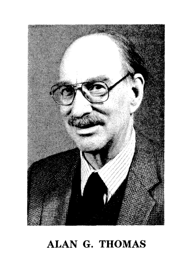

## ALAN G. THOMAS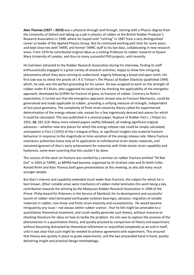**Alan Thomas (1927 – 2019)** was a physicist through and through, starting with a Physics degree from the University of Oxford and taking up a job in physics of rubber at the British Rubber Producer's Research Association in 1948, where he stayed until "retiring" in 1987 from a very distinguished career as leader of the Applied Physics Group. But he continued working part time for some years, and kept close ties with TARRC and former TARRC staff to his last days, collaborating in new research areas. From 1974 he contributed original ideas as a visiting Professor to rubber research at Queen Mary University of London, and thus to many successful PhD projects, until recently.

He had been attracted to the Rubber Research Association during his interview, finding its staff enthusiastically engaged in a great variety of research activities, happy to show him intriguing phenomena which they were striving to understand, eagerly following a broad and open remit. His first task was to check the proofs of L R G Treloar's *The Physics of Rubber Elasticity* (published 1949) which, he said, was the perfect grounding for his career. He was assigned to work on the strength of rubber under R S Rivlin, who suggested he could start by checking the applicability of the energetics approach, developed by Griffith for fracture of glass, to fracture of rubber. Contrary to Rivlin's expectation, it turned out that the energetics approach, known also as Fracture Mechanics, could be generalised and made applicable to rubber, providing a unifying measure of strength, independent of test piece geometry. The complexity of finite strain elasticity theory called for experimental determination of the energy release rate, except for a few ingeniously devised test pieces for which it could be calculated. This was published in a seminal paper, Rupture of Rubber Part I, *J Polym Sci*, 1953, **10,** 291-318. Many more related papers swiftly followed, all making significant original advances – whether new test pieces for which the energy release rate could be simply calculated, anticipation in Part 2 (1955) of the J-integral of Rice, or significant insights into material fracture behaviour in response to the magnitude or time-variation of the energy release rate. Many fracture mechanics authorities knew only of its application to infinitesimal strain elastic materials, and remained ignorant of Alan's early achievement for materials with finite elastic strain capability and hysteresis, some even asserting that this couldn't be done.

The success of the work on fracture was marked by a seminar on rubber fracture entitled "50 Not Out" in 2003 at TARRC, as BRPRA had become, organised by Dr Graham Lake and Dr Keith Fuller. Ronald Rivlin and Alan Thomas both gave presentations at this meeting, as also did many much younger people.

But Alan's interest and capability extended much wider than fracture, the subject for which he is best known. Other notable areas were mechanics of rubber-metal laminates (his work being a key contribution towards the winning by the Malaysian Rubber Research Association in 1990 of the Prince Philip Award for Polymers in the Service of Mankind, for its development and successful launch of rubber-steel laminated earthquake isolation bearings), abrasion, migration of soluble materials in rubber, non-linear and finite strain elasticity and viscoelasticity. He would become intrigued by any issue – not always within rubber science - that he felt might be amenable to a quantitative theoretical treatment, and could readily generate such theory, without recourse to checking literature for ideas on how to tackle the problem. His aim was to capture the essence of the phenomenon in a quantitative theory, and quickly proceed to comparison of theory and experiment, without becoming distracted by theoretical refinement or unjustified complexity as an end in itself, until it was clear that such might be needed to achieve agreement with experiment. This ensured that theory was quickly in place to guide experiments, and the two proceeded hand in hand, quickly delivering insight and practical design methodology.